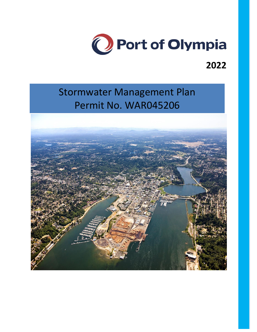

## **2022**

# Stormwater Management Plan Permit No. WAR045206

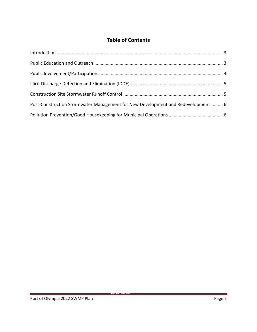## **Table of Contents**

| Post-Construction Stormwater Management for New Development and Redevelopment 6 |  |
|---------------------------------------------------------------------------------|--|
|                                                                                 |  |

<span id="page-1-0"></span><u>2020</u>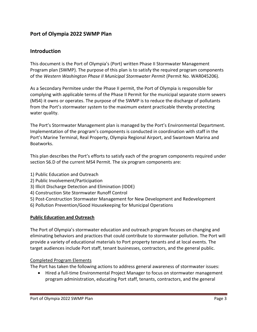## **Port of Olympia 2022 SWMP Plan**

### **Introduction**

This document is the Port of Olympia's (Port) written Phase II Stormwater Management Program plan (SWMP). The purpose of this plan is to satisfy the required program components of the *Western Washington Phase II Municipal Stormwater Permit* (Permit No. WAR045206).

As a Secondary Permitee under the Phase II permit, the Port of Olympia is responsible for complying with applicable terms of the Phase II Permit for the municipal separate storm sewers (MS4) it owns or operates. The purpose of the SWMP is to reduce the discharge of pollutants from the Port's stormwater system to the maximum extent practicable thereby protecting water quality.

The Port's Stormwater Management plan is managed by the Port's Environmental Department. Implementation of the program's components is conducted in coordination with staff in the Port's Marine Terminal, Real Property, Olympia Regional Airport, and Swantown Marina and Boatworks.

This plan describes the Port's efforts to satisfy each of the program components required under section S6.D of the current MS4 Permit. The six program components are:

- 1) Public Education and Outreach
- 2) Public Involvement/Participation
- 3) Illicit Discharge Detection and Elimination (IDDE)
- 4) Construction Site Stormwater Runoff Control
- 5) Post-Construction Stormwater Management for New Development and Redevelopment
- 6) Pollution Prevention/Good Housekeeping for Municipal Operations

#### <span id="page-2-0"></span>**Public Education and Outreach**

The Port of Olympia's stormwater education and outreach program focuses on changing and eliminating behaviors and practices that could contribute to stormwater pollution. The Port will provide a variety of educational materials to Port property tenants and at local events. The target audiences include Port staff, tenant businesses, contractors, and the general public.

#### Completed Program Elements

The Port has taken the following actions to address general awareness of stormwater issues:

 Hired a full-time Environmental Project Manager to focus on stormwater management program administration, educating Port staff, tenants, contractors, and the general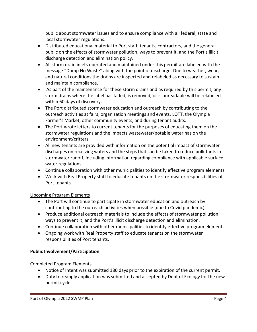public about stormwater issues and to ensure compliance with all federal, state and local stormwater regulations.

- Distributed educational material to Port staff, tenants, contractors, and the general public on the effects of stormwater pollution, ways to prevent it, and the Port's illicit discharge detection and elimination policy.
- All storm drain inlets operated and maintained under this permit are labeled with the message "Dump No Waste" along with the point of discharge. Due to weather, wear, and natural conditions the drains are inspected and relabeled as necessary to sustain and maintain compliance.
- As part of the maintenance for these storm drains and as required by this permit, any storm drains where the label has faded, is removed, or is unreadable will be relabeled within 60 days of discovery.
- The Port distributed stormwater education and outreach by contributing to the outreach activities at fairs, organization meetings and events, LOTT, the Olympia Farmer's Market, other community events, and during tenant audits.
- The Port wrote letters to current tenants for the purposes of educating them on the stormwater regulations and the impacts wastewater/potable water has on the environment/critters.
- All new tenants are provided with information on the potential impact of stormwater discharges on receiving waters and the steps that can be taken to reduce pollutants in stormwater runoff, including information regarding compliance with applicable surface water regulations.
- Continue collaboration with other municipalities to identify effective program elements.
- Work with Real Property staff to educate tenants on the stormwater responsibilities of Port tenants.

## Upcoming Program Elements

- The Port will continue to participate in stormwater education and outreach by contributing to the outreach activities when possible (due to Covid pandemic).
- Produce additional outreach materials to include the effects of stormwater pollution, ways to prevent it, and the Port's illicit discharge detection and elimination.
- Continue collaboration with other municipalities to identify effective program elements.
- Ongoing work with Real Property staff to educate tenants on the stormwater responsibilities of Port tenants.

## <span id="page-3-0"></span>**Public Involvement/Participation**

## Completed Program Elements

- Notice of Intent was submitted 180 days prior to the expiration of the current permit.
- Duty to reapply application was submitted and accepted by Dept of Ecology for the new permit cycle.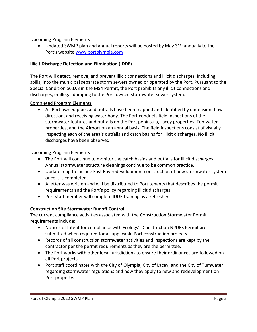#### Upcoming Program Elements

• Updated SWMP plan and annual reports will be posted by May  $31^{st}$  annually to the Port's website [www.portolympia.com](http://www.portolympia.com/)

#### <span id="page-4-0"></span>**Illicit Discharge Detection and Elimination (IDDE)**

The Port will detect, remove, and prevent illicit connections and illicit discharges, including spills, into the municipal separate storm sewers owned or operated by the Port. Pursuant to the Special Condition S6.D.3 in the MS4 Permit, the Port prohibits any illicit connections and discharges, or illegal dumping to the Port-owned stormwater sewer system.

#### Completed Program Elements

 All Port owned pipes and outfalls have been mapped and identified by dimension, flow direction, and receiving water body. The Port conducts field inspections of the stormwater features and outfalls on the Port peninsula, Lacey properties, Tumwater properties, and the Airport on an annual basis. The field inspections consist of visually inspecting each of the area's outfalls and catch basins for illicit discharges. No illicit discharges have been observed.

#### Upcoming Program Elements

- The Port will continue to monitor the catch basins and outfalls for illicit discharges. Annual stormwater structure cleanings continue to be common practice.
- Update map to include East Bay redevelopment construction of new stormwater system once it is completed.
- A letter was written and will be distributed to Port tenants that describes the permit requirements and the Port's policy regarding illicit discharges.
- Port staff member will complete IDDE training as a refresher

#### <span id="page-4-1"></span>**Construction Site Stormwater Runoff Control**

The current compliance activities associated with the Construction Stormwater Permit requirements include:

- Notices of Intent for compliance with Ecology's Construction NPDES Permit are submitted when required for all applicable Port construction projects.
- Records of all construction stormwater activities and inspections are kept by the contractor per the permit requirements as they are the permittee.
- The Port works with other local jurisdictions to ensure their ordinances are followed on all Port projects.
- Port staff coordinates with the City of Olympia, City of Lacey, and the City of Tumwater regarding stormwater regulations and how they apply to new and redevelopment on Port property.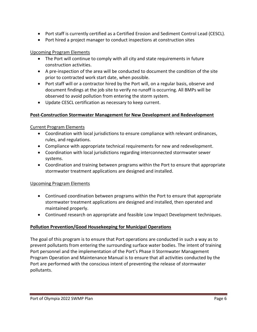- Port staff is currently certified as a Certified Erosion and Sediment Control Lead (CESCL).
- Port hired a project manager to conduct inspections at construction sites

#### Upcoming Program Elements

- The Port will continue to comply with all city and state requirements in future construction activities.
- A pre-inspection of the area will be conducted to document the condition of the site prior to contracted work start date, when possible.
- Port staff will or a contractor hired by the Port will, on a regular basis, observe and document findings at the job site to verify no runoff is occurring. All BMPs will be observed to avoid pollution from entering the storm system.
- Update CESCL certification as necessary to keep current.

#### <span id="page-5-0"></span>**Post-Construction Stormwater Management for New Development and Redevelopment**

#### Current Program Elements

- Coordination with local jurisdictions to ensure compliance with relevant ordinances, rules, and regulations.
- Compliance with appropriate technical requirements for new and redevelopment.
- Coordination with local jurisdictions regarding interconnected stormwater sewer systems.
- Coordination and training between programs within the Port to ensure that appropriate stormwater treatment applications are designed and installed.

#### Upcoming Program Elements

- Continued coordination between programs within the Port to ensure that appropriate stormwater treatment applications are designed and installed, then operated and maintained properly.
- Continued research on appropriate and feasible Low Impact Development techniques.

#### <span id="page-5-1"></span>**Pollution Prevention/Good Housekeeping for Municipal Operations**

The goal of this program is to ensure that Port operations are conducted in such a way as to prevent pollutants from entering the surrounding surface water bodies. The intent of training Port personnel and the implementation of the Port's Phase II Stormwater Management Program Operation and Maintenance Manual is to ensure that all activities conducted by the Port are performed with the conscious intent of preventing the release of stormwater pollutants.